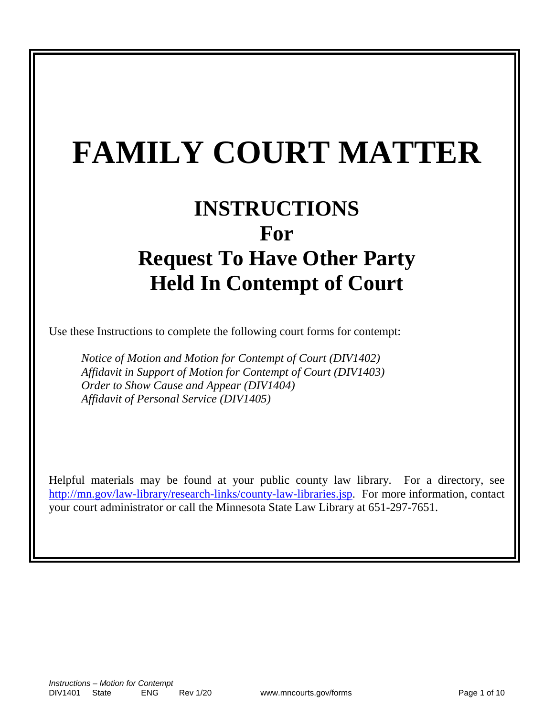# **FAMILY COURT MATTER**

# **INSTRUCTIONS For Request To Have Other Party Held In Contempt of Court**

Use these Instructions to complete the following court forms for contempt:

*Notice of Motion and Motion for Contempt of Court (DIV1402) Affidavit in Support of Motion for Contempt of Court (DIV1403) Order to Show Cause and Appear (DIV1404) Affidavit of Personal Service (DIV1405)*

Helpful materials may be found at your public county law library. For a directory, see [http://mn.gov/law-library/research-links/county-law-libraries.jsp.](http://mn.gov/law-library/research-links/county-law-libraries.jsp) For more information, contact your court administrator or call the Minnesota State Law Library at 651-297-7651.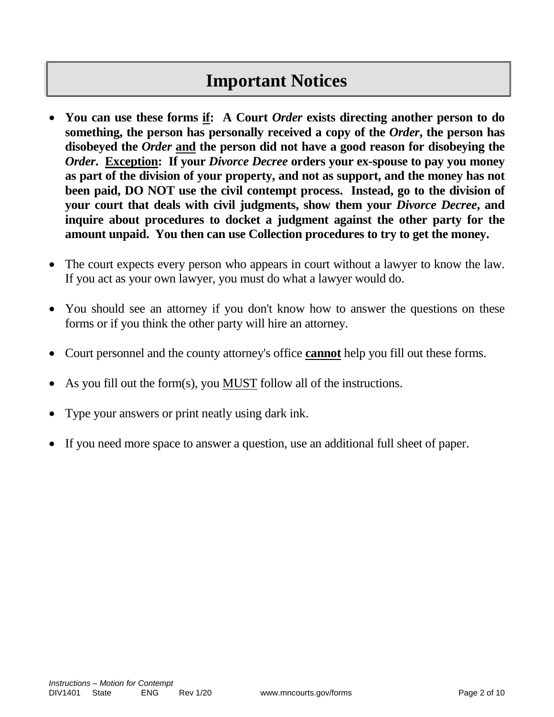# **Important Notices**

- **You can use these forms if: A Court** *Order* **exists directing another person to do something, the person has personally received a copy of the** *Order***, the person has disobeyed the** *Order* **and the person did not have a good reason for disobeying the**  *Order. Exception: If your <i>Divorce Decree* **orders your ex-spouse to pay you money as part of the division of your property, and not as support, and the money has not been paid, DO NOT use the civil contempt process. Instead, go to the division of your court that deals with civil judgments, show them your** *Divorce Decree***, and inquire about procedures to docket a judgment against the other party for the amount unpaid. You then can use Collection procedures to try to get the money.**
- The court expects every person who appears in court without a lawyer to know the law. If you act as your own lawyer, you must do what a lawyer would do.
- You should see an attorney if you don't know how to answer the questions on these forms or if you think the other party will hire an attorney.
- Court personnel and the county attorney's office **cannot** help you fill out these forms.
- As you fill out the form(s), you MUST follow all of the instructions.
- Type your answers or print neatly using dark ink.
- If you need more space to answer a question, use an additional full sheet of paper.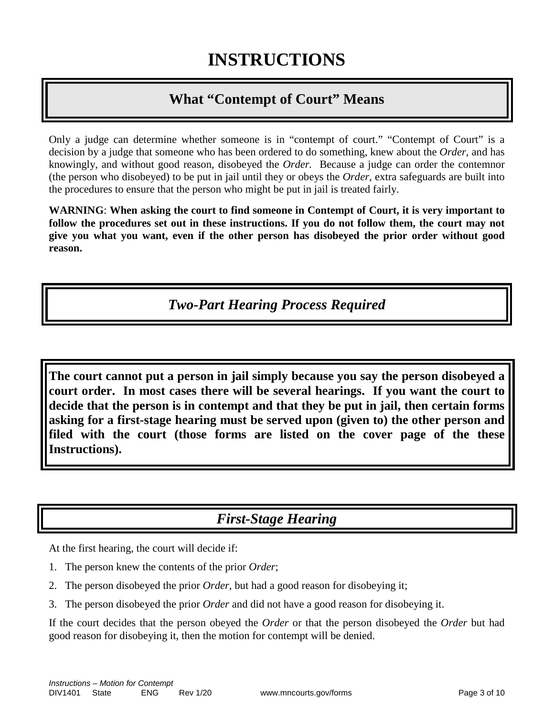# **What "Contempt of Court" Means**

Only a judge can determine whether someone is in "contempt of court." "Contempt of Court" is a decision by a judge that someone who has been ordered to do something, knew about the *Order*, and has knowingly, and without good reason, disobeyed the *Order.* Because a judge can order the contemnor (the person who disobeyed) to be put in jail until they or obeys the *Order*, extra safeguards are built into the procedures to ensure that the person who might be put in jail is treated fairly.

**WARNING**: **When asking the court to find someone in Contempt of Court, it is very important to follow the procedures set out in these instructions. If you do not follow them, the court may not give you what you want, even if the other person has disobeyed the prior order without good reason.**

*Two-Part Hearing Process Required*

**The court cannot put a person in jail simply because you say the person disobeyed a court order. In most cases there will be several hearings. If you want the court to decide that the person is in contempt and that they be put in jail, then certain forms asking for a first-stage hearing must be served upon (given to) the other person and filed with the court (those forms are listed on the cover page of the these Instructions).**

# *First-Stage Hearing*

At the first hearing, the court will decide if:

- 1. The person knew the contents of the prior *Order*;
- 2. The person disobeyed the prior *Order*, but had a good reason for disobeying it;
- 3. The person disobeyed the prior *Order* and did not have a good reason for disobeying it.

If the court decides that the person obeyed the *Order* or that the person disobeyed the *Order* but had good reason for disobeying it, then the motion for contempt will be denied.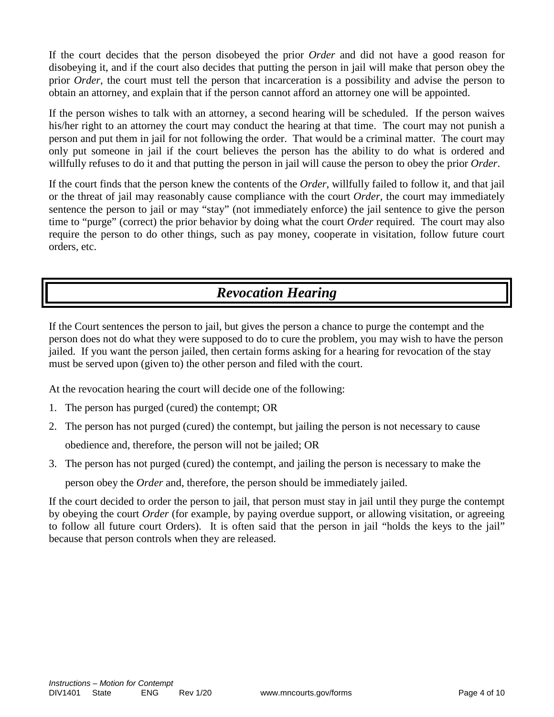If the court decides that the person disobeyed the prior *Order* and did not have a good reason for disobeying it, and if the court also decides that putting the person in jail will make that person obey the prior *Order*, the court must tell the person that incarceration is a possibility and advise the person to obtain an attorney, and explain that if the person cannot afford an attorney one will be appointed.

If the person wishes to talk with an attorney, a second hearing will be scheduled. If the person waives his/her right to an attorney the court may conduct the hearing at that time. The court may not punish a person and put them in jail for not following the order. That would be a criminal matter. The court may only put someone in jail if the court believes the person has the ability to do what is ordered and willfully refuses to do it and that putting the person in jail will cause the person to obey the prior *Order*.

If the court finds that the person knew the contents of the *Order*, willfully failed to follow it, and that jail or the threat of jail may reasonably cause compliance with the court *Order,* the court may immediately sentence the person to jail or may "stay" (not immediately enforce) the jail sentence to give the person time to "purge" (correct) the prior behavior by doing what the court *Order* required. The court may also require the person to do other things, such as pay money, cooperate in visitation, follow future court orders, etc.

# *Revocation Hearing*

If the Court sentences the person to jail, but gives the person a chance to purge the contempt and the person does not do what they were supposed to do to cure the problem, you may wish to have the person jailed. If you want the person jailed, then certain forms asking for a hearing for revocation of the stay must be served upon (given to) the other person and filed with the court.

At the revocation hearing the court will decide one of the following:

- 1. The person has purged (cured) the contempt; OR
- 2. The person has not purged (cured) the contempt, but jailing the person is not necessary to cause

obedience and, therefore, the person will not be jailed; OR

3. The person has not purged (cured) the contempt, and jailing the person is necessary to make the

person obey the *Order* and, therefore, the person should be immediately jailed.

If the court decided to order the person to jail, that person must stay in jail until they purge the contempt by obeying the court *Order* (for example, by paying overdue support, or allowing visitation, or agreeing to follow all future court Orders). It is often said that the person in jail "holds the keys to the jail" because that person controls when they are released.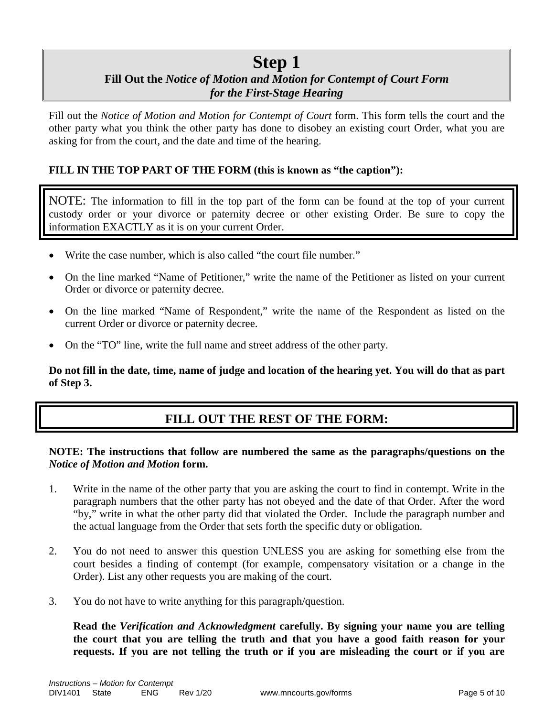# **Step 1**

### **Fill Out the** *Notice of Motion and Motion for Contempt of Court Form for the First-Stage Hearing*

Fill out the *Notice of Motion and Motion for Contempt of Court* form. This form tells the court and the other party what you think the other party has done to disobey an existing court Order, what you are asking for from the court, and the date and time of the hearing.

#### **FILL IN THE TOP PART OF THE FORM (this is known as "the caption"):**

NOTE: The information to fill in the top part of the form can be found at the top of your current custody order or your divorce or paternity decree or other existing Order. Be sure to copy the information EXACTLY as it is on your current Order.

- Write the case number, which is also called "the court file number."
- On the line marked "Name of Petitioner," write the name of the Petitioner as listed on your current Order or divorce or paternity decree.
- On the line marked "Name of Respondent," write the name of the Respondent as listed on the current Order or divorce or paternity decree.
- On the "TO" line, write the full name and street address of the other party.

**Do not fill in the date, time, name of judge and location of the hearing yet. You will do that as part of Step 3.**

#### **FILL OUT THE REST OF THE FORM:**

#### **NOTE: The instructions that follow are numbered the same as the paragraphs/questions on the**  *Notice of Motion and Motion* **form.**

- 1. Write in the name of the other party that you are asking the court to find in contempt. Write in the paragraph numbers that the other party has not obeyed and the date of that Order. After the word "by," write in what the other party did that violated the Order. Include the paragraph number and the actual language from the Order that sets forth the specific duty or obligation.
- 2. You do not need to answer this question UNLESS you are asking for something else from the court besides a finding of contempt (for example, compensatory visitation or a change in the Order). List any other requests you are making of the court.
- 3. You do not have to write anything for this paragraph/question.

**Read the** *Verification and Acknowledgment* **carefully. By signing your name you are telling the court that you are telling the truth and that you have a good faith reason for your requests. If you are not telling the truth or if you are misleading the court or if you are**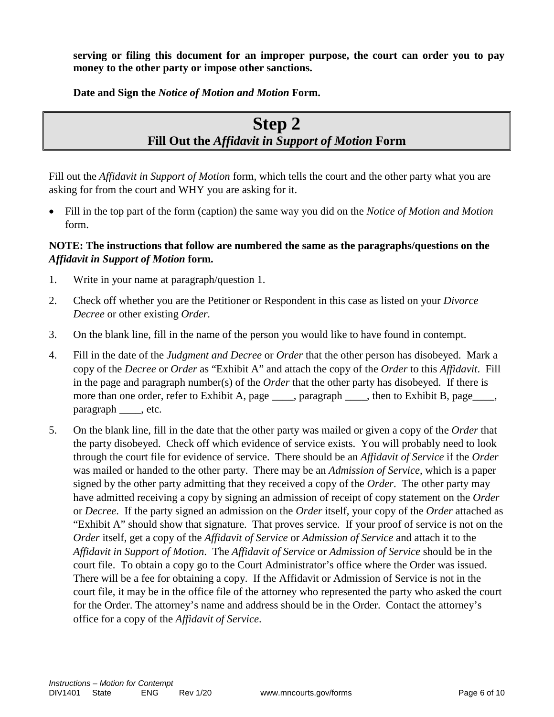**serving or filing this document for an improper purpose, the court can order you to pay money to the other party or impose other sanctions.**

**Date and Sign the** *Notice of Motion and Motion* **Form.**

# **Step 2 Fill Out the** *Affidavit in Support of Motion* **Form**

Fill out the *Affidavit in Support of Motion* form, which tells the court and the other party what you are asking for from the court and WHY you are asking for it.

• Fill in the top part of the form (caption) the same way you did on the *Notice of Motion and Motion* form.

#### **NOTE: The instructions that follow are numbered the same as the paragraphs/questions on the**  *Affidavit in Support of Motion* **form.**

- 1. Write in your name at paragraph/question 1.
- 2. Check off whether you are the Petitioner or Respondent in this case as listed on your *Divorce Decree* or other existing *Order.*
- 3. On the blank line, fill in the name of the person you would like to have found in contempt.
- 4. Fill in the date of the *Judgment and Decree* or *Order* that the other person has disobeyed. Mark a copy of the *Decree* or *Order* as "Exhibit A" and attach the copy of the *Order* to this *Affidavit*. Fill in the page and paragraph number(s) of the *Order* that the other party has disobeyed. If there is more than one order, refer to Exhibit A, page \_\_\_\_, paragraph \_\_\_\_, then to Exhibit B, page \_\_\_, paragraph \_\_\_\_\_, etc.
- 5. On the blank line, fill in the date that the other party was mailed or given a copy of the *Order* that the party disobeyed. Check off which evidence of service exists. You will probably need to look through the court file for evidence of service. There should be an *Affidavit of Service* if the *Order* was mailed or handed to the other party. There may be an *Admission of Service*, which is a paper signed by the other party admitting that they received a copy of the *Order*. The other party may have admitted receiving a copy by signing an admission of receipt of copy statement on the *Order* or *Decree*. If the party signed an admission on the *Order* itself, your copy of the *Order* attached as "Exhibit A" should show that signature. That proves service. If your proof of service is not on the *Order* itself, get a copy of the *Affidavit of Service* or *Admission of Service* and attach it to the *Affidavit in Support of Motion*. The *Affidavit of Service* or *Admission of Service* should be in the court file. To obtain a copy go to the Court Administrator's office where the Order was issued. There will be a fee for obtaining a copy. If the Affidavit or Admission of Service is not in the court file, it may be in the office file of the attorney who represented the party who asked the court for the Order. The attorney's name and address should be in the Order. Contact the attorney's office for a copy of the *Affidavit of Service*.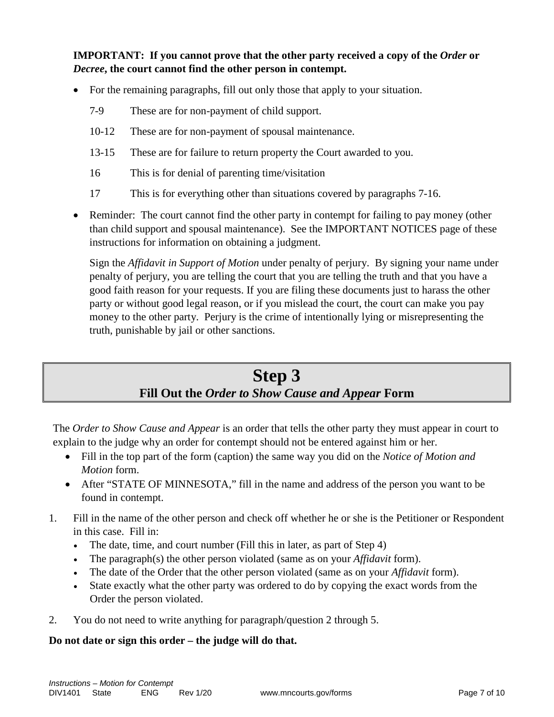**IMPORTANT:** If you cannot prove that the other party received a copy of the *Order* or *Decree***, the court cannot find the other person in contempt.**

- For the remaining paragraphs, fill out only those that apply to your situation.
	- 7-9 These are for non-payment of child support.
	- 10-12 These are for non-payment of spousal maintenance.
	- 13-15 These are for failure to return property the Court awarded to you.
	- 16 This is for denial of parenting time/visitation
	- 17 This is for everything other than situations covered by paragraphs 7-16.
- Reminder: The court cannot find the other party in contempt for failing to pay money (other than child support and spousal maintenance). See the IMPORTANT NOTICES page of these instructions for information on obtaining a judgment.

Sign the *Affidavit in Support of Motion* under penalty of perjury. By signing your name under penalty of perjury, you are telling the court that you are telling the truth and that you have a good faith reason for your requests. If you are filing these documents just to harass the other party or without good legal reason, or if you mislead the court, the court can make you pay money to the other party. Perjury is the crime of intentionally lying or misrepresenting the truth, punishable by jail or other sanctions.

# **Step 3 Fill Out the** *Order to Show Cause and Appear* **Form**

The *Order to Show Cause and Appear* is an order that tells the other party they must appear in court to explain to the judge why an order for contempt should not be entered against him or her.

- Fill in the top part of the form (caption) the same way you did on the *Notice of Motion and Motion* form.
- After "STATE OF MINNESOTA," fill in the name and address of the person you want to be found in contempt.
- 1. Fill in the name of the other person and check off whether he or she is the Petitioner or Respondent in this case. Fill in:
	- The date, time, and court number (Fill this in later, as part of Step 4)
	- The paragraph(s) the other person violated (same as on your *Affidavit* form).
	- The date of the Order that the other person violated (same as on your *Affidavit* form).
	- State exactly what the other party was ordered to do by copying the exact words from the Order the person violated.
- 2. You do not need to write anything for paragraph/question 2 through 5.

#### **Do not date or sign this order – the judge will do that.**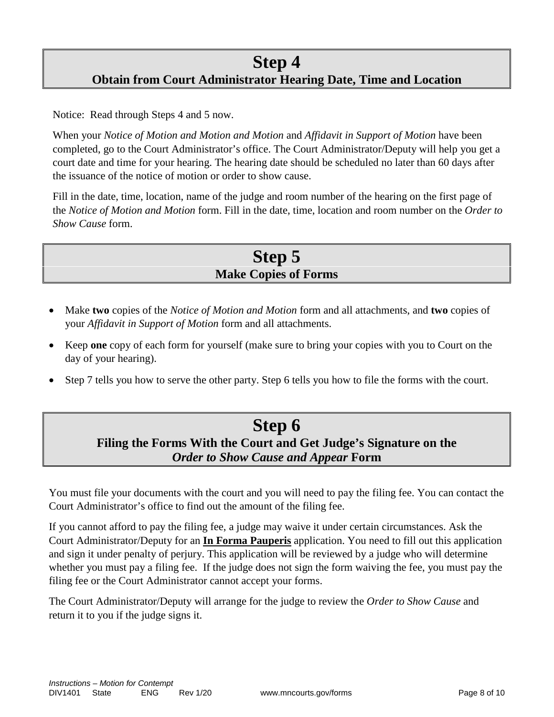### **Step 4 Obtain from Court Administrator Hearing Date, Time and Location**

Notice: Read through Steps 4 and 5 now.

When your *Notice of Motion and Motion and Motion* and *Affidavit in Support of Motion* have been completed, go to the Court Administrator's office. The Court Administrator/Deputy will help you get a court date and time for your hearing. The hearing date should be scheduled no later than 60 days after the issuance of the notice of motion or order to show cause.

Fill in the date, time, location, name of the judge and room number of the hearing on the first page of the *Notice of Motion and Motion* form. Fill in the date, time, location and room number on the *Order to Show Cause* form.

## **Step 5 Make Copies of Forms**

- Make **two** copies of the *Notice of Motion and Motion* form and all attachments, and **two** copies of your *Affidavit in Support of Motion* form and all attachments.
- Keep **one** copy of each form for yourself (make sure to bring your copies with you to Court on the day of your hearing).
- Step 7 tells you how to serve the other party. Step 6 tells you how to file the forms with the court.

### **Step 6 Filing the Forms With the Court and Get Judge's Signature on the**  *Order to Show Cause and Appear* **Form**

You must file your documents with the court and you will need to pay the filing fee. You can contact the Court Administrator's office to find out the amount of the filing fee.

If you cannot afford to pay the filing fee, a judge may waive it under certain circumstances. Ask the Court Administrator/Deputy for an **In Forma Pauperis** application. You need to fill out this application and sign it under penalty of perjury. This application will be reviewed by a judge who will determine whether you must pay a filing fee. If the judge does not sign the form waiving the fee, you must pay the filing fee or the Court Administrator cannot accept your forms.

The Court Administrator/Deputy will arrange for the judge to review the *Order to Show Cause* and return it to you if the judge signs it.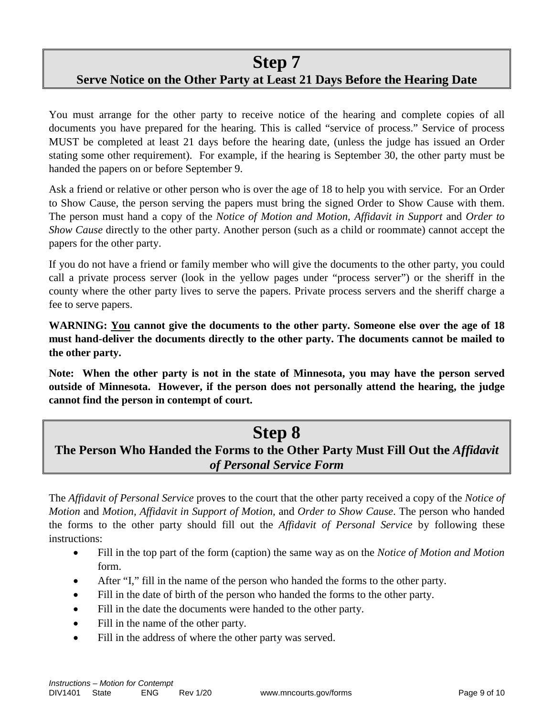### **Step 7 Serve Notice on the Other Party at Least 21 Days Before the Hearing Date**

You must arrange for the other party to receive notice of the hearing and complete copies of all documents you have prepared for the hearing. This is called "service of process." Service of process MUST be completed at least 21 days before the hearing date, (unless the judge has issued an Order stating some other requirement). For example, if the hearing is September 30, the other party must be handed the papers on or before September 9.

Ask a friend or relative or other person who is over the age of 18 to help you with service. For an Order to Show Cause, the person serving the papers must bring the signed Order to Show Cause with them. The person must hand a copy of the *Notice of Motion and Motion, Affidavit in Support* and *Order to Show Cause* directly to the other party. Another person (such as a child or roommate) cannot accept the papers for the other party.

If you do not have a friend or family member who will give the documents to the other party, you could call a private process server (look in the yellow pages under "process server") or the sheriff in the county where the other party lives to serve the papers. Private process servers and the sheriff charge a fee to serve papers.

**WARNING: You cannot give the documents to the other party. Someone else over the age of 18 must hand-deliver the documents directly to the other party. The documents cannot be mailed to the other party.**

**Note: When the other party is not in the state of Minnesota, you may have the person served outside of Minnesota. However, if the person does not personally attend the hearing, the judge cannot find the person in contempt of court.**

# **Step 8**

### **The Person Who Handed the Forms to the Other Party Must Fill Out the** *Affidavit of Personal Service Form*

The *Affidavit of Personal Service* proves to the court that the other party received a copy of the *Notice of Motion* and *Motion, Affidavit in Support of Motion,* and *Order to Show Cause*. The person who handed the forms to the other party should fill out the *Affidavit of Personal Service* by following these instructions:

- Fill in the top part of the form (caption) the same way as on the *Notice of Motion and Motion* form.
- After "I," fill in the name of the person who handed the forms to the other party.
- Fill in the date of birth of the person who handed the forms to the other party.
- Fill in the date the documents were handed to the other party.
- Fill in the name of the other party.
- Fill in the address of where the other party was served.